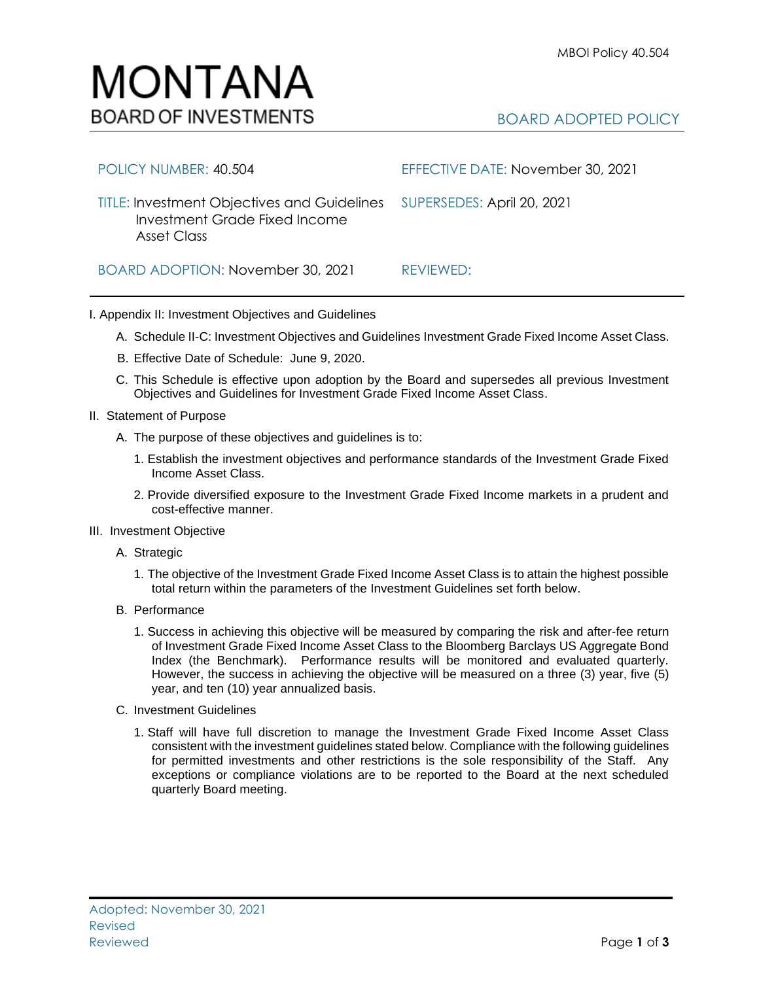

| POLICY NUMBER: 40.504                                                                                                  | EFFECTIVE DATE: November 30, 2021 |
|------------------------------------------------------------------------------------------------------------------------|-----------------------------------|
| TITLE: Investment Objectives and Guidelines SUPERSEDES: April 20, 2021<br>Investment Grade Fixed Income<br>Asset Class |                                   |
| BOARD ADOPTION: November 30, 2021                                                                                      | REVIEWED:                         |

## I. Appendix II: Investment Objectives and Guidelines

- A. Schedule II-C: Investment Objectives and Guidelines Investment Grade Fixed Income Asset Class.
- B. Effective Date of Schedule: June 9, 2020.
- C. This Schedule is effective upon adoption by the Board and supersedes all previous Investment Objectives and Guidelines for Investment Grade Fixed Income Asset Class.
- II. Statement of Purpose
	- A. The purpose of these objectives and guidelines is to:
		- 1. Establish the investment objectives and performance standards of the Investment Grade Fixed Income Asset Class.
		- 2. Provide diversified exposure to the Investment Grade Fixed Income markets in a prudent and cost-effective manner.
- III. Investment Objective
	- A. Strategic
		- 1. The objective of the Investment Grade Fixed Income Asset Class is to attain the highest possible total return within the parameters of the Investment Guidelines set forth below.
	- B. Performance
		- 1. Success in achieving this objective will be measured by comparing the risk and after-fee return of Investment Grade Fixed Income Asset Class to the Bloomberg Barclays US Aggregate Bond Index (the Benchmark). Performance results will be monitored and evaluated quarterly. However, the success in achieving the objective will be measured on a three (3) year, five (5) year, and ten (10) year annualized basis.
	- C. Investment Guidelines
		- 1. Staff will have full discretion to manage the Investment Grade Fixed Income Asset Class consistent with the investment guidelines stated below. Compliance with the following guidelines for permitted investments and other restrictions is the sole responsibility of the Staff. Any exceptions or compliance violations are to be reported to the Board at the next scheduled quarterly Board meeting.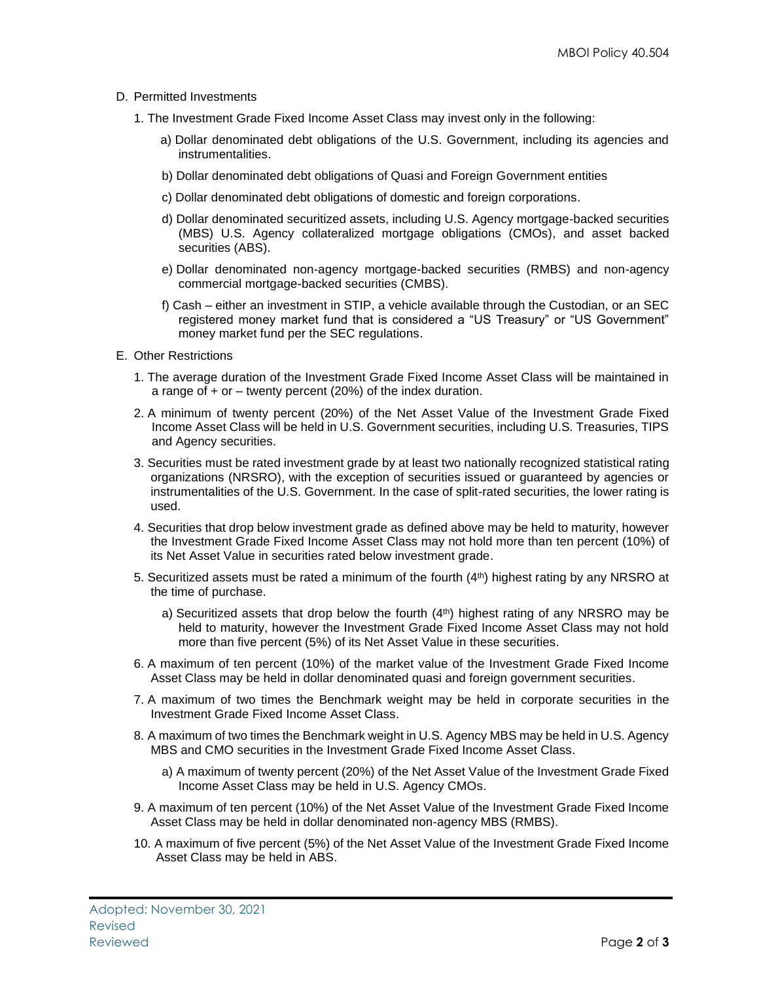## D. Permitted Investments

- 1. The Investment Grade Fixed Income Asset Class may invest only in the following:
	- a) Dollar denominated debt obligations of the U.S. Government, including its agencies and instrumentalities.
	- b) Dollar denominated debt obligations of Quasi and Foreign Government entities
	- c) Dollar denominated debt obligations of domestic and foreign corporations.
	- d) Dollar denominated securitized assets, including U.S. Agency mortgage-backed securities (MBS) U.S. Agency collateralized mortgage obligations (CMOs), and asset backed securities (ABS).
	- e) Dollar denominated non-agency mortgage-backed securities (RMBS) and non-agency commercial mortgage-backed securities (CMBS).
	- f) Cash either an investment in STIP, a vehicle available through the Custodian, or an SEC registered money market fund that is considered a "US Treasury" or "US Government" money market fund per the SEC regulations.
- E. Other Restrictions
	- 1. The average duration of the Investment Grade Fixed Income Asset Class will be maintained in a range of + or – twenty percent (20%) of the index duration.
	- 2. A minimum of twenty percent (20%) of the Net Asset Value of the Investment Grade Fixed Income Asset Class will be held in U.S. Government securities, including U.S. Treasuries, TIPS and Agency securities.
	- 3. Securities must be rated investment grade by at least two nationally recognized statistical rating organizations (NRSRO), with the exception of securities issued or guaranteed by agencies or instrumentalities of the U.S. Government. In the case of split-rated securities, the lower rating is used.
	- 4. Securities that drop below investment grade as defined above may be held to maturity, however the Investment Grade Fixed Income Asset Class may not hold more than ten percent (10%) of its Net Asset Value in securities rated below investment grade.
	- 5. Securitized assets must be rated a minimum of the fourth  $(4<sup>th</sup>)$  highest rating by any NRSRO at the time of purchase.
		- a) Securitized assets that drop below the fourth (4<sup>th</sup>) highest rating of any NRSRO may be held to maturity, however the Investment Grade Fixed Income Asset Class may not hold more than five percent (5%) of its Net Asset Value in these securities.
	- 6. A maximum of ten percent (10%) of the market value of the Investment Grade Fixed Income Asset Class may be held in dollar denominated quasi and foreign government securities.
	- 7. A maximum of two times the Benchmark weight may be held in corporate securities in the Investment Grade Fixed Income Asset Class.
	- 8. A maximum of two times the Benchmark weight in U.S. Agency MBS may be held in U.S. Agency MBS and CMO securities in the Investment Grade Fixed Income Asset Class.
		- a) A maximum of twenty percent (20%) of the Net Asset Value of the Investment Grade Fixed Income Asset Class may be held in U.S. Agency CMOs.
	- 9. A maximum of ten percent (10%) of the Net Asset Value of the Investment Grade Fixed Income Asset Class may be held in dollar denominated non-agency MBS (RMBS).
	- 10. A maximum of five percent (5%) of the Net Asset Value of the Investment Grade Fixed Income Asset Class may be held in ABS.